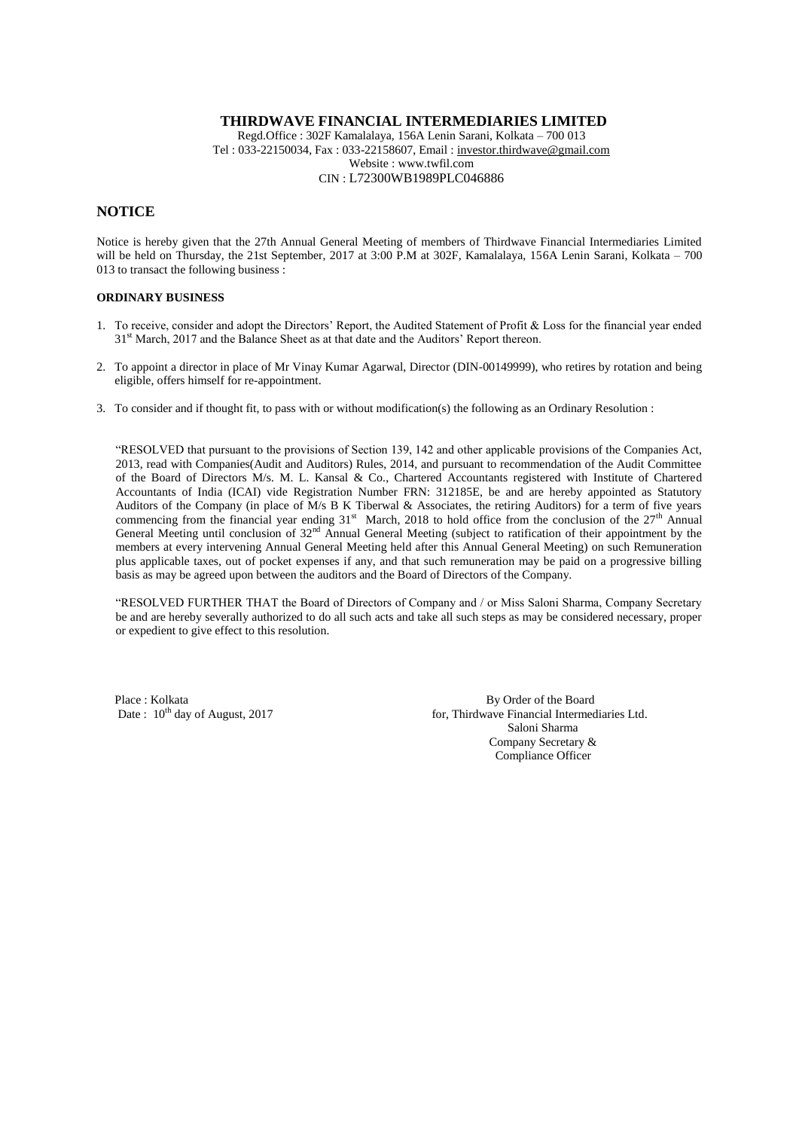Regd.Office : 302F Kamalalaya, 156A Lenin Sarani, Kolkata – 700 013 Tel : 033-22150034, Fax : 033-22158607, Email : [investor.thirdwave@gmail.com](mailto:investor.thirdwave@gmail.com) Website : www.twfil.com CIN : L72300WB1989PLC046886

### **NOTICE**

Notice is hereby given that the 27th Annual General Meeting of members of Thirdwave Financial Intermediaries Limited will be held on Thursday, the 21st September, 2017 at 3:00 P.M at 302F, Kamalalaya, 156A Lenin Sarani, Kolkata – 700 013 to transact the following business :

#### **ORDINARY BUSINESS**

- 1. To receive, consider and adopt the Directors' Report, the Audited Statement of Profit & Loss for the financial year ended 31<sup>st</sup> March, 2017 and the Balance Sheet as at that date and the Auditors' Report thereon.
- 2. To appoint a director in place of Mr Vinay Kumar Agarwal, Director (DIN-00149999), who retires by rotation and being eligible, offers himself for re-appointment.
- 3. To consider and if thought fit, to pass with or without modification(s) the following as an Ordinary Resolution :

"RESOLVED that pursuant to the provisions of Section 139, 142 and other applicable provisions of the Companies Act, 2013, read with Companies(Audit and Auditors) Rules, 2014, and pursuant to recommendation of the Audit Committee of the Board of Directors M/s. M. L. Kansal & Co., Chartered Accountants registered with Institute of Chartered Accountants of India (ICAI) vide Registration Number FRN: 312185E, be and are hereby appointed as Statutory Auditors of the Company (in place of M/s B K Tiberwal & Associates, the retiring Auditors) for a term of five years commencing from the financial year ending  $31<sup>st</sup>$  March, 2018 to hold office from the conclusion of the  $27<sup>th</sup>$  Annual General Meeting until conclusion of 32<sup>nd</sup> Annual General Meeting (subject to ratification of their appointment by the members at every intervening Annual General Meeting held after this Annual General Meeting) on such Remuneration plus applicable taxes, out of pocket expenses if any, and that such remuneration may be paid on a progressive billing basis as may be agreed upon between the auditors and the Board of Directors of the Company.

"RESOLVED FURTHER THAT the Board of Directors of Company and / or Miss Saloni Sharma, Company Secretary be and are hereby severally authorized to do all such acts and take all such steps as may be considered necessary, proper or expedient to give effect to this resolution.

Place : Kolkata By Order of the Board<br>Date :  $10^{\text{th}}$  day of August, 2017 for, Thirdwave Financial Intermed

for, Thirdwave Financial Intermediaries Ltd. Saloni Sharma Company Secretary & Compliance Officer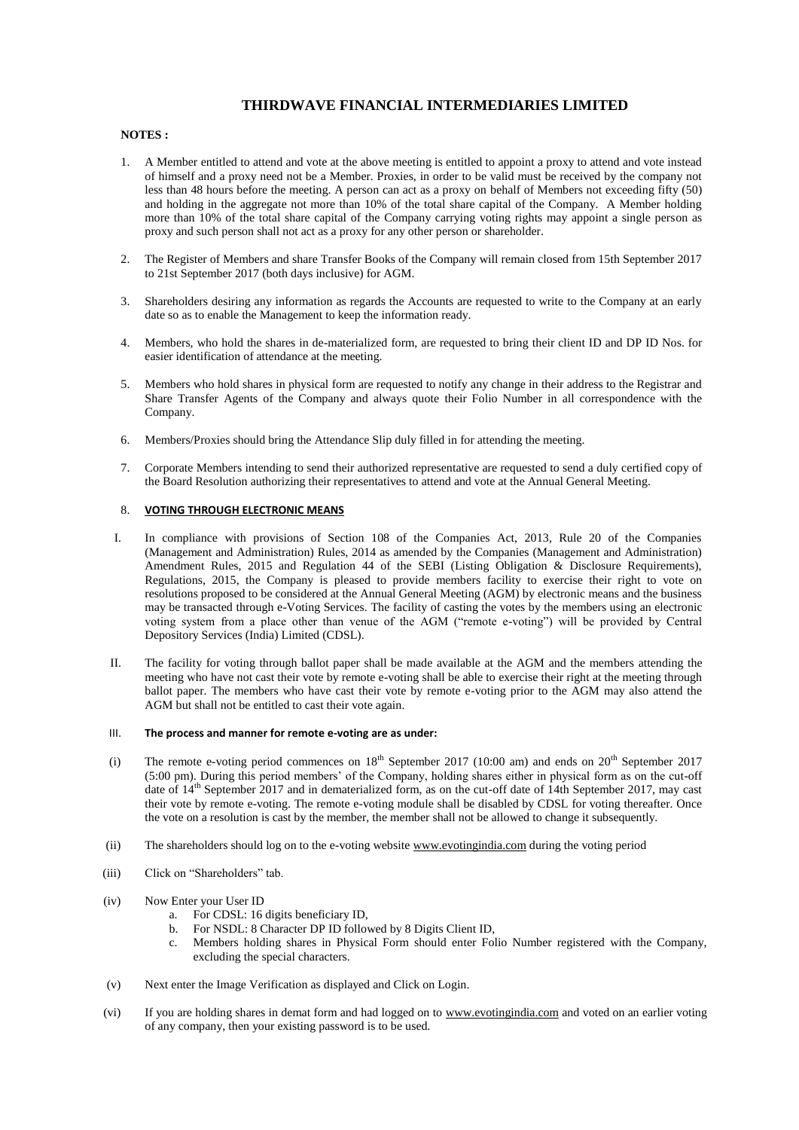### **NOTES :**

- 1. A Member entitled to attend and vote at the above meeting is entitled to appoint a proxy to attend and vote instead of himself and a proxy need not be a Member. Proxies, in order to be valid must be received by the company not less than 48 hours before the meeting. A person can act as a proxy on behalf of Members not exceeding fifty (50) and holding in the aggregate not more than 10% of the total share capital of the Company. A Member holding more than 10% of the total share capital of the Company carrying voting rights may appoint a single person as proxy and such person shall not act as a proxy for any other person or shareholder.
- 2. The Register of Members and share Transfer Books of the Company will remain closed from 15th September 2017 to 21st September 2017 (both days inclusive) for AGM.
- 3. Shareholders desiring any information as regards the Accounts are requested to write to the Company at an early date so as to enable the Management to keep the information ready.
- 4. Members, who hold the shares in de-materialized form, are requested to bring their client ID and DP ID Nos. for easier identification of attendance at the meeting.
- 5. Members who hold shares in physical form are requested to notify any change in their address to the Registrar and Share Transfer Agents of the Company and always quote their Folio Number in all correspondence with the Company.
- 6. Members/Proxies should bring the Attendance Slip duly filled in for attending the meeting.
- 7. Corporate Members intending to send their authorized representative are requested to send a duly certified copy of the Board Resolution authorizing their representatives to attend and vote at the Annual General Meeting.

### 8. **VOTING THROUGH ELECTRONIC MEANS**

- I. In compliance with provisions of Section 108 of the Companies Act, 2013, Rule 20 of the Companies (Management and Administration) Rules, 2014 as amended by the Companies (Management and Administration) Amendment Rules, 2015 and Regulation 44 of the SEBI (Listing Obligation & Disclosure Requirements), Regulations, 2015, the Company is pleased to provide members facility to exercise their right to vote on resolutions proposed to be considered at the Annual General Meeting (AGM) by electronic means and the business may be transacted through e-Voting Services. The facility of casting the votes by the members using an electronic voting system from a place other than venue of the AGM ("remote e-voting") will be provided by Central Depository Services (India) Limited (CDSL).
- II. The facility for voting through ballot paper shall be made available at the AGM and the members attending the meeting who have not cast their vote by remote e-voting shall be able to exercise their right at the meeting through ballot paper. The members who have cast their vote by remote e-voting prior to the AGM may also attend the AGM but shall not be entitled to cast their vote again.

#### III. **The process and manner for remote e-voting are as under:**

- (i) The remote e-voting period commences on  $18<sup>th</sup>$  September 2017 (10:00 am) and ends on  $20<sup>th</sup>$  September 2017 (5:00 pm). During this period members' of the Company, holding shares either in physical form as on the cut-off date of 14<sup>th</sup> September 2017 and in dematerialized form, as on the cut-off date of 14th September 2017, may cast their vote by remote e-voting. The remote e-voting module shall be disabled by CDSL for voting thereafter. Once the vote on a resolution is cast by the member, the member shall not be allowed to change it subsequently.
- (ii) The shareholders should log on to the e-voting websit[e www.evotingindia.com](http://www.evotingindia.com/) during the voting period
- (iii) Click on "Shareholders" tab.
- (iv) Now Enter your User ID
	- a. For CDSL: 16 digits beneficiary ID,
	- b. For NSDL: 8 Character DP ID followed by 8 Digits Client ID,
	- c. Members holding shares in Physical Form should enter Folio Number registered with the Company, excluding the special characters.
- (v) Next enter the Image Verification as displayed and Click on Login.
- (vi) If you are holding shares in demat form and had logged on to [www.evotingindia.com](http://www.evotingindia.com/) and voted on an earlier voting of any company, then your existing password is to be used.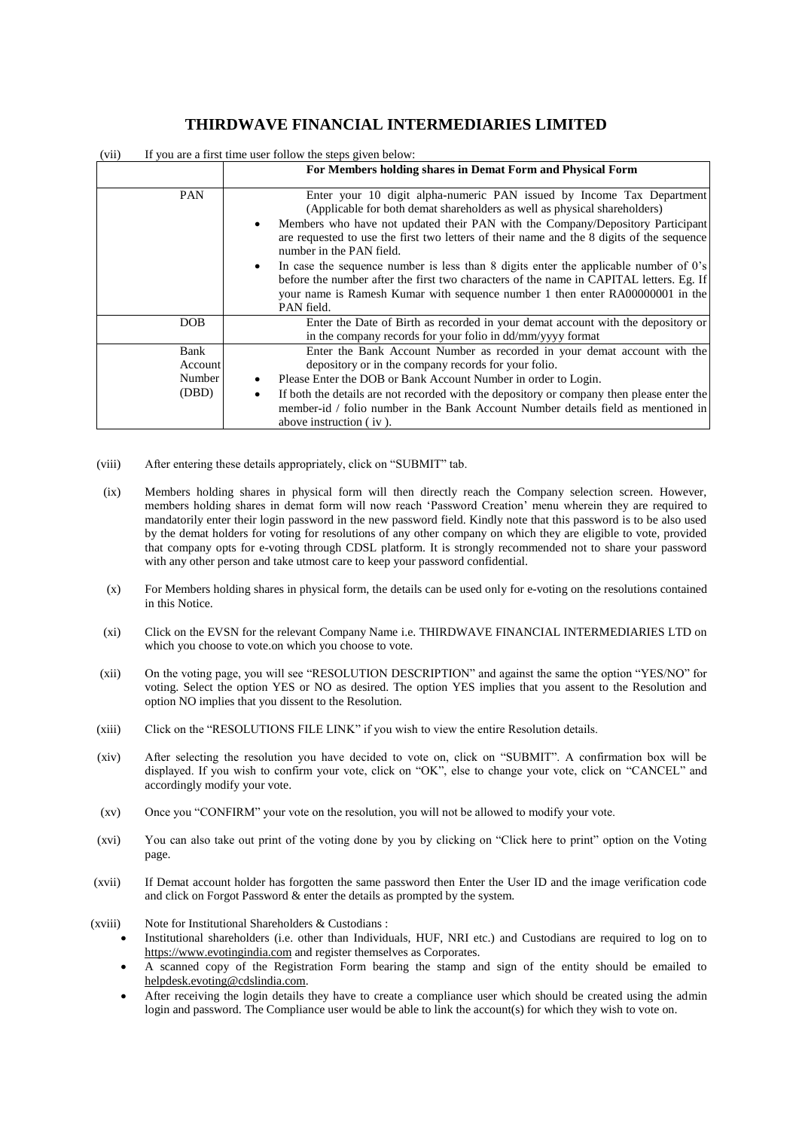| If you are a first time user follow the steps given below:<br>(vii) |                                                                                                                                                                                                                                                                                                                                                                                                                                                                                                                                                                                                                                                                             |  |
|---------------------------------------------------------------------|-----------------------------------------------------------------------------------------------------------------------------------------------------------------------------------------------------------------------------------------------------------------------------------------------------------------------------------------------------------------------------------------------------------------------------------------------------------------------------------------------------------------------------------------------------------------------------------------------------------------------------------------------------------------------------|--|
|                                                                     | For Members holding shares in Demat Form and Physical Form                                                                                                                                                                                                                                                                                                                                                                                                                                                                                                                                                                                                                  |  |
| <b>PAN</b>                                                          | Enter your 10 digit alpha-numeric PAN issued by Income Tax Department<br>(Applicable for both demat shareholders as well as physical shareholders)<br>Members who have not updated their PAN with the Company/Depository Participant<br>$\bullet$<br>are requested to use the first two letters of their name and the 8 digits of the sequence<br>number in the PAN field.<br>In case the sequence number is less than 8 digits enter the applicable number of $0's$<br>$\bullet$<br>before the number after the first two characters of the name in CAPITAL letters. Eg. If<br>your name is Ramesh Kumar with sequence number 1 then enter RA00000001 in the<br>PAN field. |  |
| DOB.                                                                | Enter the Date of Birth as recorded in your demat account with the depository or<br>in the company records for your folio in dd/mm/yyyy format                                                                                                                                                                                                                                                                                                                                                                                                                                                                                                                              |  |
| Bank<br>Account<br>Number<br>(DBD)                                  | Enter the Bank Account Number as recorded in your demat account with the<br>depository or in the company records for your folio.<br>Please Enter the DOB or Bank Account Number in order to Login.<br>If both the details are not recorded with the depository or company then please enter the<br>$\bullet$<br>member-id / folio number in the Bank Account Number details field as mentioned in<br>above instruction (iv).                                                                                                                                                                                                                                                |  |

- (viii) After entering these details appropriately, click on "SUBMIT" tab.
- (ix) Members holding shares in physical form will then directly reach the Company selection screen. However, members holding shares in demat form will now reach 'Password Creation' menu wherein they are required to mandatorily enter their login password in the new password field. Kindly note that this password is to be also used by the demat holders for voting for resolutions of any other company on which they are eligible to vote, provided that company opts for e-voting through CDSL platform. It is strongly recommended not to share your password with any other person and take utmost care to keep your password confidential.
- (x) For Members holding shares in physical form, the details can be used only for e-voting on the resolutions contained in this Notice.
- (xi) Click on the EVSN for the relevant Company Name i.e. THIRDWAVE FINANCIAL INTERMEDIARIES LTD on which you choose to vote.on which you choose to vote.
- (xii) On the voting page, you will see "RESOLUTION DESCRIPTION" and against the same the option "YES/NO" for voting. Select the option YES or NO as desired. The option YES implies that you assent to the Resolution and option NO implies that you dissent to the Resolution.
- (xiii) Click on the "RESOLUTIONS FILE LINK" if you wish to view the entire Resolution details.
- (xiv) After selecting the resolution you have decided to vote on, click on "SUBMIT". A confirmation box will be displayed. If you wish to confirm your vote, click on "OK", else to change your vote, click on "CANCEL" and accordingly modify your vote.
- (xv) Once you "CONFIRM" your vote on the resolution, you will not be allowed to modify your vote.
- (xvi) You can also take out print of the voting done by you by clicking on "Click here to print" option on the Voting page.
- (xvii) If Demat account holder has forgotten the same password then Enter the User ID and the image verification code and click on Forgot Password & enter the details as prompted by the system.
- (xviii) Note for Institutional Shareholders & Custodians :
	- Institutional shareholders (i.e. other than Individuals, HUF, NRI etc.) and Custodians are required to log on to [https://www.evotingindia.com](https://www.evotingindia.com/) and register themselves as Corporates.
	- A scanned copy of the Registration Form bearing the stamp and sign of the entity should be emailed to [helpdesk.evoting@cdslindia.com.](mailto:helpdesk.evoting@cdslindia.com)
	- After receiving the login details they have to create a compliance user which should be created using the admin login and password. The Compliance user would be able to link the account(s) for which they wish to vote on.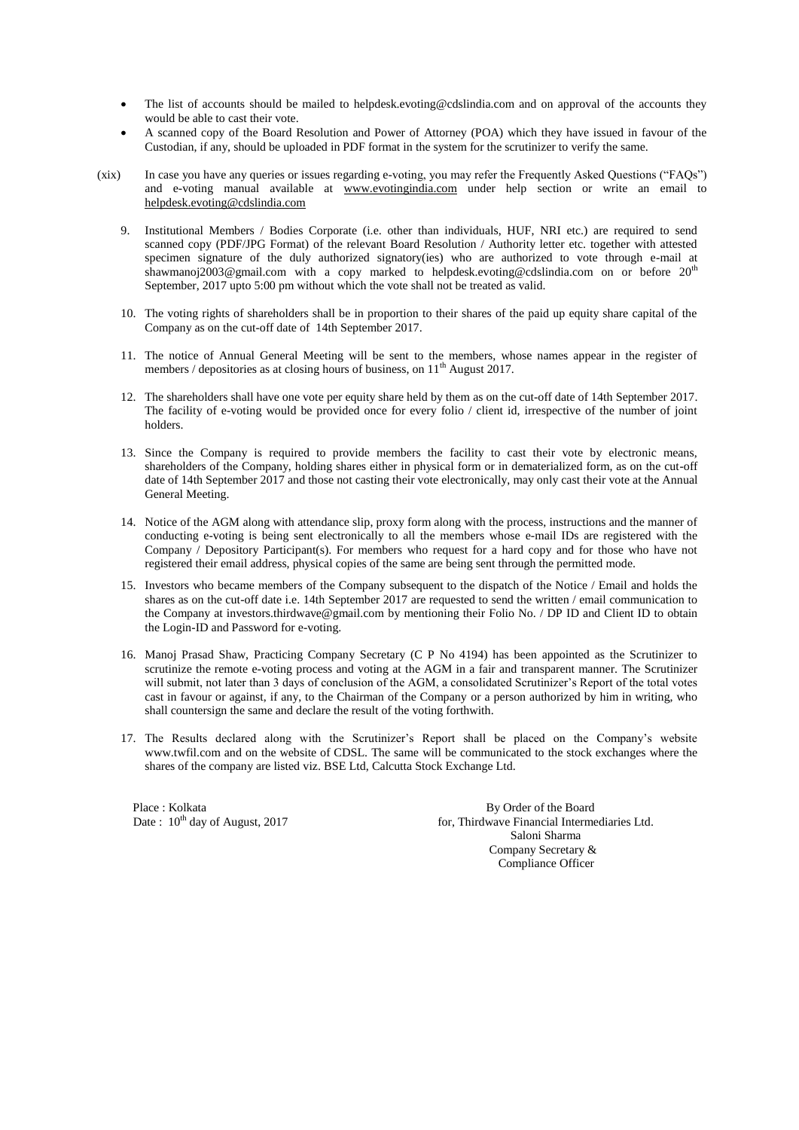- The list of accounts should be mailed to helpdesk.evoting@cdslindia.com and on approval of the accounts they would be able to cast their vote.
- A scanned copy of the Board Resolution and Power of Attorney (POA) which they have issued in favour of the Custodian, if any, should be uploaded in PDF format in the system for the scrutinizer to verify the same.
- (xix) In case you have any queries or issues regarding e-voting, you may refer the Frequently Asked Questions ("FAQs") and e-voting manual available at [www.evotingindia.com](http://www.evotingindia.com/) under help section or write an email to [helpdesk.evoting@cdslindia.com](mailto:helpdesk.evoting@cdslindia.com)
	- 9. Institutional Members / Bodies Corporate (i.e. other than individuals, HUF, NRI etc.) are required to send scanned copy (PDF/JPG Format) of the relevant Board Resolution / Authority letter etc. together with attested specimen signature of the duly authorized signatory(ies) who are authorized to vote through e-mail at shawmanoj2003@gmail.com with a copy marked to helpdesk.evoting@cdslindia.com on or before 20<sup>th</sup> September, 2017 upto 5:00 pm without which the vote shall not be treated as valid.
	- 10. The voting rights of shareholders shall be in proportion to their shares of the paid up equity share capital of the Company as on the cut-off date of 14th September 2017.
	- 11. The notice of Annual General Meeting will be sent to the members, whose names appear in the register of members / depositories as at closing hours of business, on  $11<sup>th</sup>$  August 2017.
	- 12. The shareholders shall have one vote per equity share held by them as on the cut-off date of 14th September 2017. The facility of e-voting would be provided once for every folio / client id, irrespective of the number of joint holders.
	- 13. Since the Company is required to provide members the facility to cast their vote by electronic means, shareholders of the Company, holding shares either in physical form or in dematerialized form, as on the cut-off date of 14th September 2017 and those not casting their vote electronically, may only cast their vote at the Annual General Meeting.
	- 14. Notice of the AGM along with attendance slip, proxy form along with the process, instructions and the manner of conducting e-voting is being sent electronically to all the members whose e-mail IDs are registered with the Company / Depository Participant(s). For members who request for a hard copy and for those who have not registered their email address, physical copies of the same are being sent through the permitted mode.
	- 15. Investors who became members of the Company subsequent to the dispatch of the Notice / Email and holds the shares as on the cut-off date i.e. 14th September 2017 are requested to send the written / email communication to the Company at investors.thirdwave@gmail.com by mentioning their Folio No. / DP ID and Client ID to obtain the Login-ID and Password for e-voting.
	- 16. Manoj Prasad Shaw, Practicing Company Secretary (C P No 4194) has been appointed as the Scrutinizer to scrutinize the remote e-voting process and voting at the AGM in a fair and transparent manner. The Scrutinizer will submit, not later than 3 days of conclusion of the AGM, a consolidated Scrutinizer's Report of the total votes cast in favour or against, if any, to the Chairman of the Company or a person authorized by him in writing, who shall countersign the same and declare the result of the voting forthwith.
	- 17. The Results declared along with the Scrutinizer's Report shall be placed on the Company's website www.twfil.com and on the website of CDSL. The same will be communicated to the stock exchanges where the shares of the company are listed viz. BSE Ltd, Calcutta Stock Exchange Ltd.

Place : Kolkata By Order of the Board<br>
Date : 10<sup>th</sup> day of August, 2017 for, Thirdwave Financial Interme

for, Thirdwave Financial Intermediaries Ltd. Saloni Sharma Company Secretary & Compliance Officer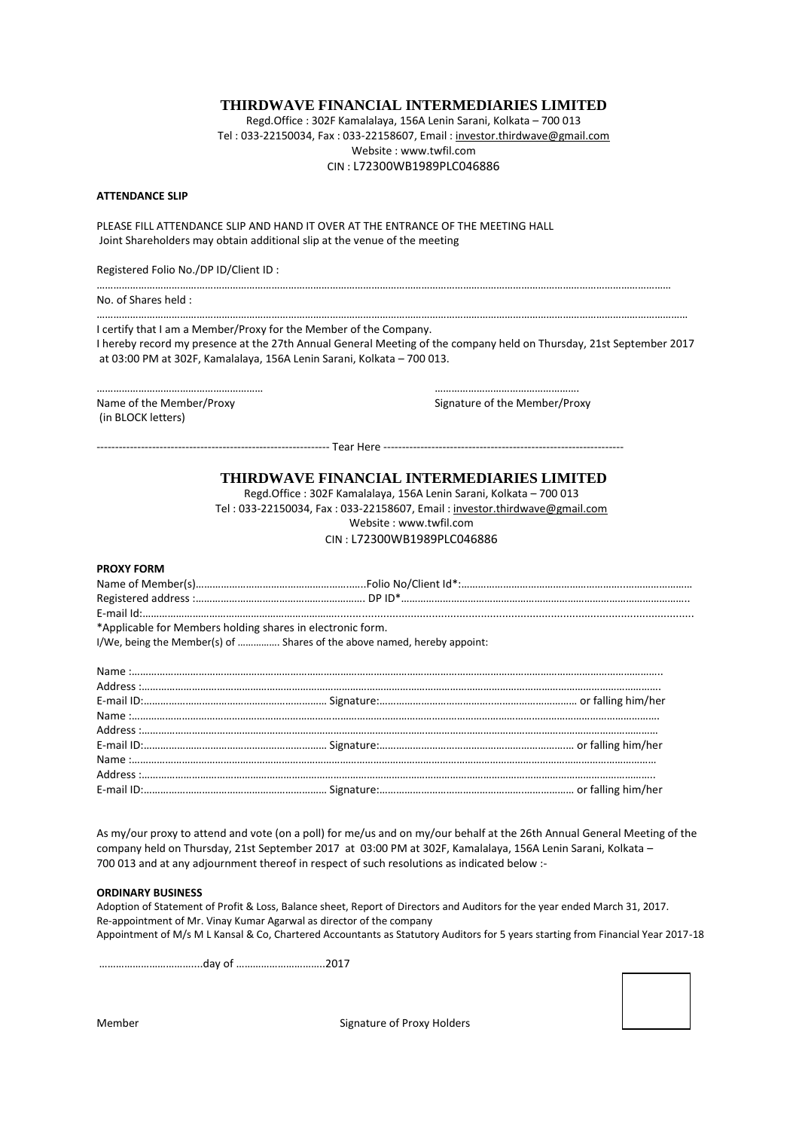Regd.Office : 302F Kamalalaya, 156A Lenin Sarani, Kolkata – 700 013 Tel : 033-22150034, Fax : 033-22158607, Email [: investor.thirdwave@gmail.com](mailto:investor.thirdwave@gmail.com) Website : www.twfil.com CIN : L72300WB1989PLC046886

#### **ATTENDANCE SLIP**

PLEASE FILL ATTENDANCE SLIP AND HAND IT OVER AT THE ENTRANCE OF THE MEETING HALL Joint Shareholders may obtain additional slip at the venue of the meeting

Registered Folio No./DP ID/Client ID :

……………………………………………………………………………………………………………………………………………………………………………………… No. of Shares held :

I certify that I am a Member/Proxy for the Member of the Company. I hereby record my presence at the 27th Annual General Meeting of the company held on Thursday, 21st September 2017 at 03:00 PM at 302F, Kamalalaya, 156A Lenin Sarani, Kolkata – 700 013.

……………………………………………………………………………………………………………………………………………………………………………………………

--------------------------------------------------------------- Tear Here -----------------------------------------------------------------

Name of the Member/Proxy extends the Member/Proxy and Signature of the Member/Proxy (in BLOCK letters)

…………………………………………………… …………………………………………….

**THIRDWAVE FINANCIAL INTERMEDIARIES LIMITED**

Regd.Office : 302F Kamalalaya, 156A Lenin Sarani, Kolkata – 700 013 Tel : 033-22150034, Fax : 033-22158607, Email : [investor.thirdwave@gmail.com](mailto:investor.thirdwave@gmail.com) Website : www.twfil.com CIN : L72300WB1989PLC046886

#### **PROXY FORM**

| *Applicable for Members holding shares in electronic form.               |  |  |  |  |
|--------------------------------------------------------------------------|--|--|--|--|
| I/We, being the Member(s) of  Shares of the above named, hereby appoint: |  |  |  |  |

| $\textbf{Name}: \textbf{________} \xrightarrow{0} \textbf{________} \xrightarrow{0} \textbf{________} \xrightarrow{0} \textbf{________} \xrightarrow{0} \textbf{________} \xrightarrow{0} \textbf{________} \xrightarrow{0} \textbf{________} \xrightarrow{0} \textbf{________} \xrightarrow{0} \textbf{________} \xrightarrow{0} \textbf{________} \xrightarrow{0} \textbf{________} \xrightarrow{0} \textbf{________} \xrightarrow{0} \textbf{________} \xrightarrow{0} \textbf{________} \xrightarrow{0} \textbf{________} \xrightarrow{0} \textbf{________} \xrightarrow{0} \textbf{________} \xrightarrow{0} \textbf{________} \xrightarrow{$ |  |
|----------------------------------------------------------------------------------------------------------------------------------------------------------------------------------------------------------------------------------------------------------------------------------------------------------------------------------------------------------------------------------------------------------------------------------------------------------------------------------------------------------------------------------------------------------------------------------------------------------------------------------------------------|--|
|                                                                                                                                                                                                                                                                                                                                                                                                                                                                                                                                                                                                                                                    |  |
|                                                                                                                                                                                                                                                                                                                                                                                                                                                                                                                                                                                                                                                    |  |
|                                                                                                                                                                                                                                                                                                                                                                                                                                                                                                                                                                                                                                                    |  |

As my/our proxy to attend and vote (on a poll) for me/us and on my/our behalf at the 26th Annual General Meeting of the company held on Thursday, 21st September 2017 at 03:00 PM at 302F, Kamalalaya, 156A Lenin Sarani, Kolkata – 700 013 and at any adjournment thereof in respect of such resolutions as indicated below :-

### **ORDINARY BUSINESS**

Adoption of Statement of Profit & Loss, Balance sheet, Report of Directors and Auditors for the year ended March 31, 2017. Re-appointment of Mr. Vinay Kumar Agarwal as director of the company Appointment of M/s M L Kansal & Co, Chartered Accountants as Statutory Auditors for 5 years starting from Financial Year 2017-18

……………………………....day of …………………………..2017